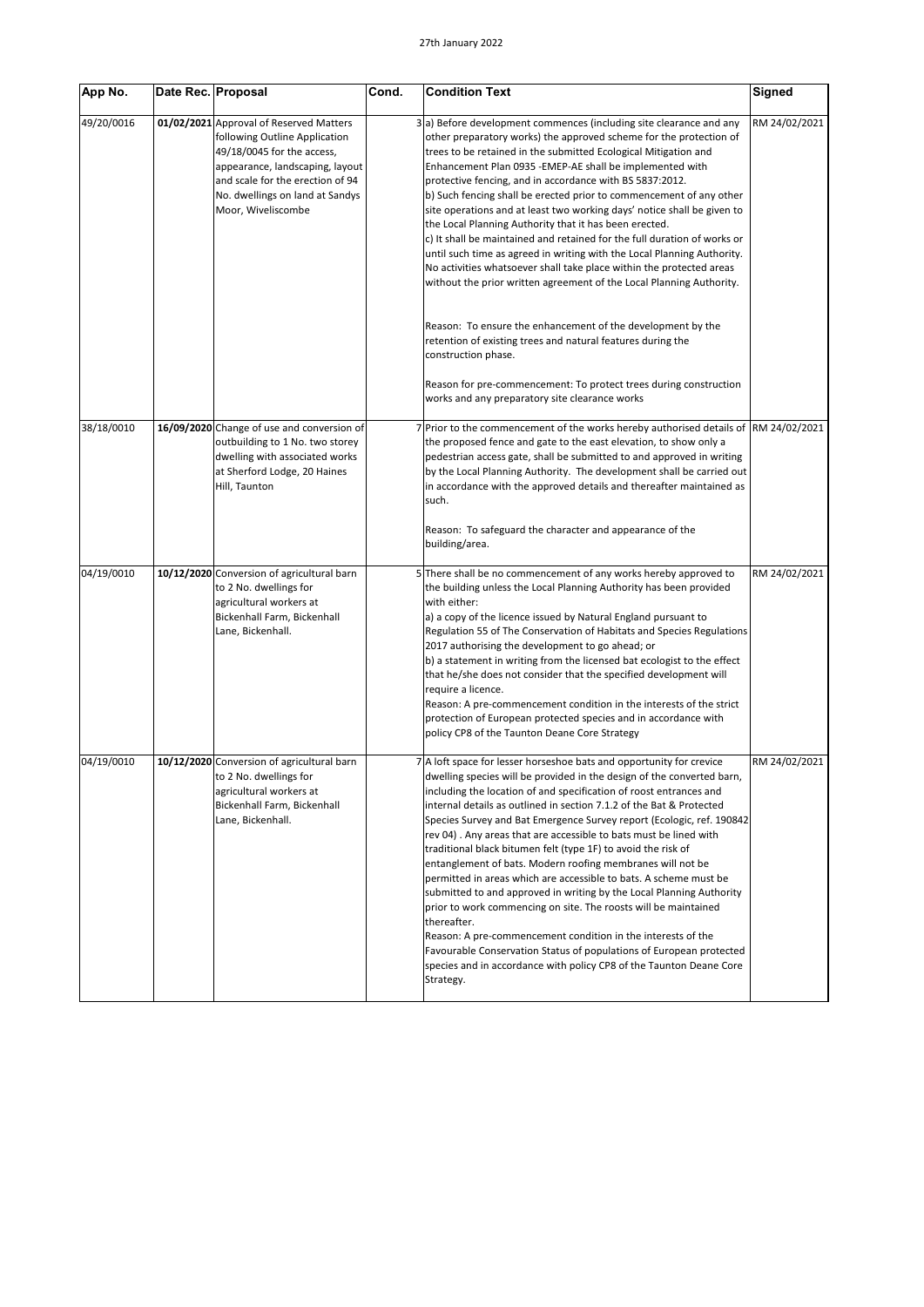| App No.    | Date Rec. Proposal |                                                                                                                                                                                                                                        | Cond. | <b>Condition Text</b>                                                                                                                                                                                                                                                                                                                                                                                                                                                                                                                                                                                                                                                                                                                                                                                                                                                                                                                                                                                                                | <b>Signed</b> |
|------------|--------------------|----------------------------------------------------------------------------------------------------------------------------------------------------------------------------------------------------------------------------------------|-------|--------------------------------------------------------------------------------------------------------------------------------------------------------------------------------------------------------------------------------------------------------------------------------------------------------------------------------------------------------------------------------------------------------------------------------------------------------------------------------------------------------------------------------------------------------------------------------------------------------------------------------------------------------------------------------------------------------------------------------------------------------------------------------------------------------------------------------------------------------------------------------------------------------------------------------------------------------------------------------------------------------------------------------------|---------------|
| 49/20/0016 |                    | 01/02/2021 Approval of Reserved Matters<br>following Outline Application<br>49/18/0045 for the access,<br>appearance, landscaping, layout<br>and scale for the erection of 94<br>No. dwellings on land at Sandys<br>Moor, Wiveliscombe |       | 3(a) Before development commences (including site clearance and any<br>other preparatory works) the approved scheme for the protection of<br>trees to be retained in the submitted Ecological Mitigation and<br>Enhancement Plan 0935 - EMEP-AE shall be implemented with<br>protective fencing, and in accordance with BS 5837:2012.<br>b) Such fencing shall be erected prior to commencement of any other<br>site operations and at least two working days' notice shall be given to<br>the Local Planning Authority that it has been erected.<br>c) It shall be maintained and retained for the full duration of works or<br>until such time as agreed in writing with the Local Planning Authority.<br>No activities whatsoever shall take place within the protected areas<br>without the prior written agreement of the Local Planning Authority.                                                                                                                                                                             | RM 24/02/2021 |
|            |                    |                                                                                                                                                                                                                                        |       | Reason: To ensure the enhancement of the development by the<br>retention of existing trees and natural features during the<br>construction phase.                                                                                                                                                                                                                                                                                                                                                                                                                                                                                                                                                                                                                                                                                                                                                                                                                                                                                    |               |
|            |                    |                                                                                                                                                                                                                                        |       | Reason for pre-commencement: To protect trees during construction<br>works and any preparatory site clearance works                                                                                                                                                                                                                                                                                                                                                                                                                                                                                                                                                                                                                                                                                                                                                                                                                                                                                                                  |               |
| 38/18/0010 |                    | 16/09/2020 Change of use and conversion of<br>outbuilding to 1 No. two storey<br>dwelling with associated works<br>at Sherford Lodge, 20 Haines<br>Hill, Taunton                                                                       |       | Prior to the commencement of the works hereby authorised details of<br>the proposed fence and gate to the east elevation, to show only a<br>pedestrian access gate, shall be submitted to and approved in writing<br>by the Local Planning Authority. The development shall be carried out<br>in accordance with the approved details and thereafter maintained as<br>such.                                                                                                                                                                                                                                                                                                                                                                                                                                                                                                                                                                                                                                                          | RM 24/02/2021 |
|            |                    |                                                                                                                                                                                                                                        |       | Reason: To safeguard the character and appearance of the<br>building/area.                                                                                                                                                                                                                                                                                                                                                                                                                                                                                                                                                                                                                                                                                                                                                                                                                                                                                                                                                           |               |
| 04/19/0010 |                    | 10/12/2020 Conversion of agricultural barn<br>to 2 No. dwellings for<br>agricultural workers at<br>Bickenhall Farm, Bickenhall<br>Lane, Bickenhall.                                                                                    |       | 5 There shall be no commencement of any works hereby approved to<br>the building unless the Local Planning Authority has been provided<br>with either:<br>a) a copy of the licence issued by Natural England pursuant to<br>Regulation 55 of The Conservation of Habitats and Species Regulations<br>2017 authorising the development to go ahead; or<br>b) a statement in writing from the licensed bat ecologist to the effect<br>that he/she does not consider that the specified development will<br>require a licence.<br>Reason: A pre-commencement condition in the interests of the strict<br>protection of European protected species and in accordance with<br>policy CP8 of the Taunton Deane Core Strategy                                                                                                                                                                                                                                                                                                               | RM 24/02/2021 |
| 04/19/0010 |                    | 10/12/2020 Conversion of agricultural barn<br>to 2 No. dwellings for<br>agricultural workers at<br>Bickenhall Farm, Bickenhall<br>Lane, Bickenhall.                                                                                    |       | 7 A loft space for lesser horseshoe bats and opportunity for crevice<br>dwelling species will be provided in the design of the converted barn,<br>including the location of and specification of roost entrances and<br>internal details as outlined in section 7.1.2 of the Bat & Protected<br>Species Survey and Bat Emergence Survey report (Ecologic, ref. 190842)<br>rev 04). Any areas that are accessible to bats must be lined with<br>traditional black bitumen felt (type 1F) to avoid the risk of<br>entanglement of bats. Modern roofing membranes will not be<br>permitted in areas which are accessible to bats. A scheme must be<br>submitted to and approved in writing by the Local Planning Authority<br>prior to work commencing on site. The roosts will be maintained<br>thereafter.<br>Reason: A pre-commencement condition in the interests of the<br>Favourable Conservation Status of populations of European protected<br>species and in accordance with policy CP8 of the Taunton Deane Core<br>Strategy. | RM 24/02/2021 |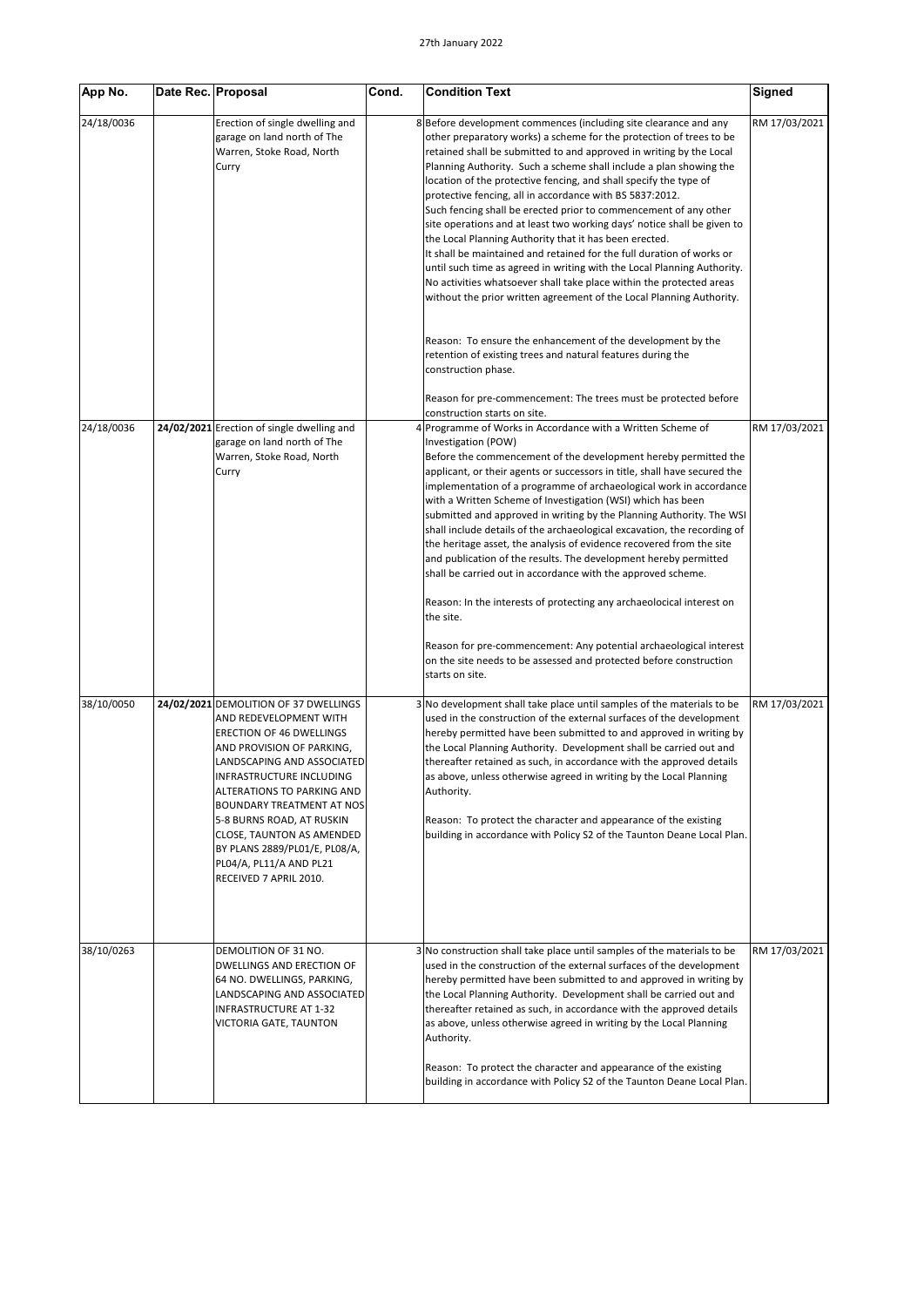| App No.    | Date Rec. Proposal |                                                                                                                                                                                                                                                                                                                                                                                                      | Cond. | <b>Condition Text</b>                                                                                                                                                                                                                                                                                                                                                                                                                                                                                                                                                                                                                                                                                                                                                                                                                                                                                                                                                                                                                                                                   | Signed        |
|------------|--------------------|------------------------------------------------------------------------------------------------------------------------------------------------------------------------------------------------------------------------------------------------------------------------------------------------------------------------------------------------------------------------------------------------------|-------|-----------------------------------------------------------------------------------------------------------------------------------------------------------------------------------------------------------------------------------------------------------------------------------------------------------------------------------------------------------------------------------------------------------------------------------------------------------------------------------------------------------------------------------------------------------------------------------------------------------------------------------------------------------------------------------------------------------------------------------------------------------------------------------------------------------------------------------------------------------------------------------------------------------------------------------------------------------------------------------------------------------------------------------------------------------------------------------------|---------------|
| 24/18/0036 |                    | Erection of single dwelling and<br>garage on land north of The<br>Warren, Stoke Road, North<br>Curry                                                                                                                                                                                                                                                                                                 |       | 8 Before development commences (including site clearance and any<br>other preparatory works) a scheme for the protection of trees to be<br>retained shall be submitted to and approved in writing by the Local<br>Planning Authority. Such a scheme shall include a plan showing the<br>location of the protective fencing, and shall specify the type of<br>protective fencing, all in accordance with BS 5837:2012.<br>Such fencing shall be erected prior to commencement of any other<br>site operations and at least two working days' notice shall be given to<br>the Local Planning Authority that it has been erected.<br>It shall be maintained and retained for the full duration of works or<br>until such time as agreed in writing with the Local Planning Authority.<br>No activities whatsoever shall take place within the protected areas<br>without the prior written agreement of the Local Planning Authority.<br>Reason: To ensure the enhancement of the development by the<br>retention of existing trees and natural features during the<br>construction phase. | RM 17/03/2021 |
|            |                    |                                                                                                                                                                                                                                                                                                                                                                                                      |       | Reason for pre-commencement: The trees must be protected before                                                                                                                                                                                                                                                                                                                                                                                                                                                                                                                                                                                                                                                                                                                                                                                                                                                                                                                                                                                                                         |               |
| 24/18/0036 |                    | 24/02/2021 Erection of single dwelling and<br>garage on land north of The<br>Warren, Stoke Road, North<br>Curry                                                                                                                                                                                                                                                                                      |       | construction starts on site.<br>Programme of Works in Accordance with a Written Scheme of<br>Investigation (POW)<br>Before the commencement of the development hereby permitted the<br>applicant, or their agents or successors in title, shall have secured the<br>implementation of a programme of archaeological work in accordance<br>with a Written Scheme of Investigation (WSI) which has been<br>submitted and approved in writing by the Planning Authority. The WSI<br>shall include details of the archaeological excavation, the recording of<br>the heritage asset, the analysis of evidence recovered from the site<br>and publication of the results. The development hereby permitted<br>shall be carried out in accordance with the approved scheme.<br>Reason: In the interests of protecting any archaeolocical interest on<br>the site.<br>Reason for pre-commencement: Any potential archaeological interest<br>on the site needs to be assessed and protected before construction<br>starts on site.                                                              | RM 17/03/2021 |
| 38/10/0050 |                    | 24/02/2021 DEMOLITION OF 37 DWELLINGS<br>AND REDEVELOPMENT WITH<br><b>ERECTION OF 46 DWELLINGS</b><br>AND PROVISION OF PARKING,<br>LANDSCAPING AND ASSOCIATED<br>INFRASTRUCTURE INCLUDING<br>ALTERATIONS TO PARKING AND<br>BOUNDARY TREATMENT AT NOS<br>5-8 BURNS ROAD, AT RUSKIN<br>CLOSE, TAUNTON AS AMENDED<br>BY PLANS 2889/PL01/E, PL08/A,<br>PL04/A, PL11/A AND PL21<br>RECEIVED 7 APRIL 2010. |       | No development shall take place until samples of the materials to be<br>used in the construction of the external surfaces of the development<br>hereby permitted have been submitted to and approved in writing by<br>the Local Planning Authority. Development shall be carried out and<br>thereafter retained as such, in accordance with the approved details<br>as above, unless otherwise agreed in writing by the Local Planning<br>Authority.<br>Reason: To protect the character and appearance of the existing<br>building in accordance with Policy S2 of the Taunton Deane Local Plan.                                                                                                                                                                                                                                                                                                                                                                                                                                                                                       | RM 17/03/2021 |
| 38/10/0263 |                    | DEMOLITION OF 31 NO.<br>DWELLINGS AND ERECTION OF<br>64 NO. DWELLINGS, PARKING,<br>LANDSCAPING AND ASSOCIATED<br>INFRASTRUCTURE AT 1-32<br>VICTORIA GATE, TAUNTON                                                                                                                                                                                                                                    |       | 3 No construction shall take place until samples of the materials to be<br>used in the construction of the external surfaces of the development<br>hereby permitted have been submitted to and approved in writing by<br>the Local Planning Authority. Development shall be carried out and<br>thereafter retained as such, in accordance with the approved details<br>as above, unless otherwise agreed in writing by the Local Planning<br>Authority.<br>Reason: To protect the character and appearance of the existing<br>building in accordance with Policy S2 of the Taunton Deane Local Plan.                                                                                                                                                                                                                                                                                                                                                                                                                                                                                    | RM 17/03/2021 |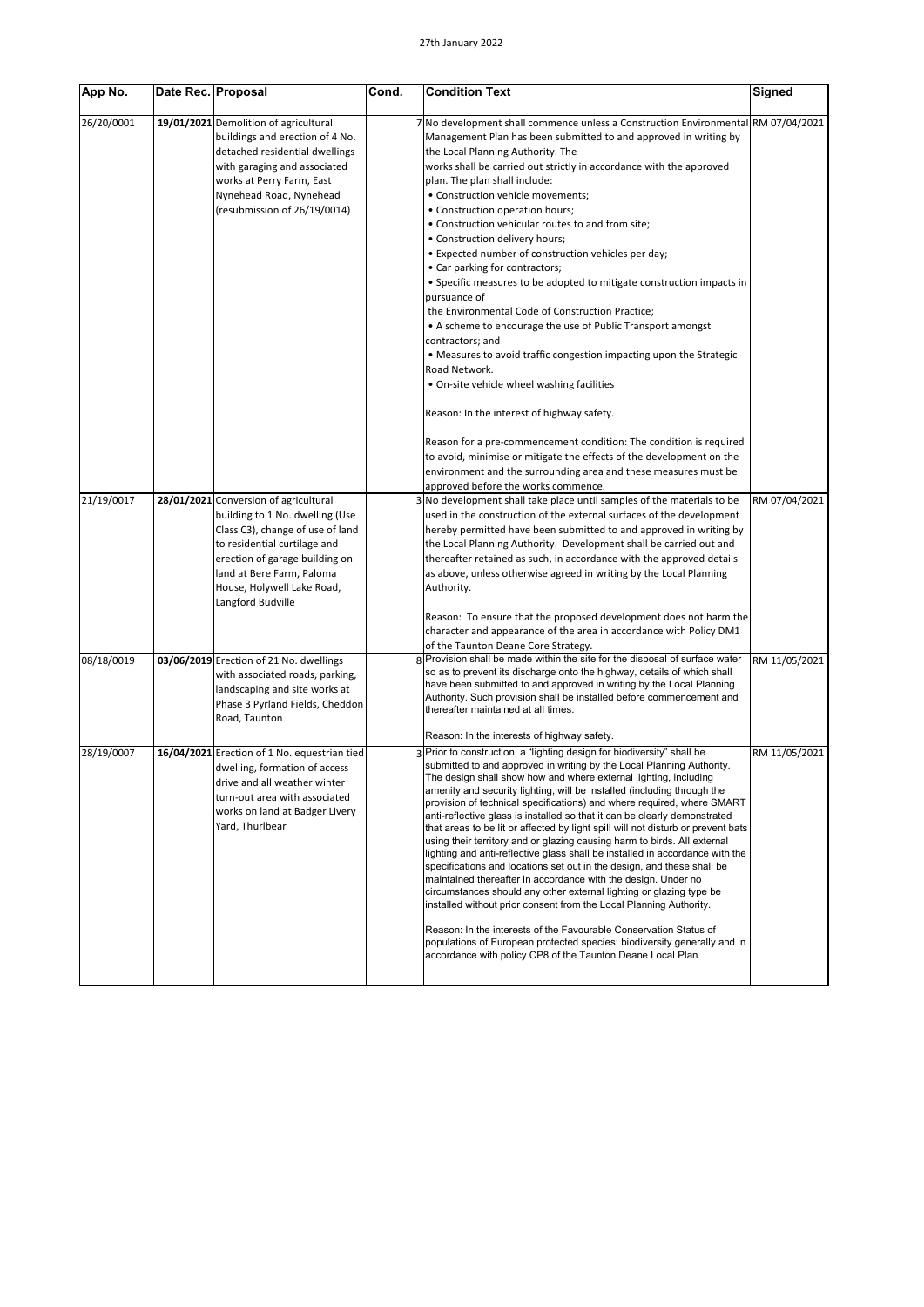| App No.    | Date Rec. Proposal |                                                                                                                                                                                                                                                                | Cond. | <b>Condition Text</b>                                                                                                                                                                                                                                                                                                                                                                                                                                                                                                                                                                                                                                                                                                                                                                                                                                                                                                                                                                                                                                                                                                                                                                                         | Signed        |
|------------|--------------------|----------------------------------------------------------------------------------------------------------------------------------------------------------------------------------------------------------------------------------------------------------------|-------|---------------------------------------------------------------------------------------------------------------------------------------------------------------------------------------------------------------------------------------------------------------------------------------------------------------------------------------------------------------------------------------------------------------------------------------------------------------------------------------------------------------------------------------------------------------------------------------------------------------------------------------------------------------------------------------------------------------------------------------------------------------------------------------------------------------------------------------------------------------------------------------------------------------------------------------------------------------------------------------------------------------------------------------------------------------------------------------------------------------------------------------------------------------------------------------------------------------|---------------|
| 26/20/0001 |                    | 19/01/2021 Demolition of agricultural<br>buildings and erection of 4 No.<br>detached residential dwellings<br>with garaging and associated<br>works at Perry Farm, East<br>Nynehead Road, Nynehead<br>(resubmission of 26/19/0014)                             |       | 7 No development shall commence unless a Construction Environmental<br>Management Plan has been submitted to and approved in writing by<br>the Local Planning Authority. The<br>works shall be carried out strictly in accordance with the approved<br>plan. The plan shall include:<br>• Construction vehicle movements;<br>• Construction operation hours;<br>• Construction vehicular routes to and from site;<br>• Construction delivery hours;<br>• Expected number of construction vehicles per day;<br>• Car parking for contractors;<br>• Specific measures to be adopted to mitigate construction impacts in<br>pursuance of<br>the Environmental Code of Construction Practice;<br>• A scheme to encourage the use of Public Transport amongst<br>contractors; and<br>• Measures to avoid traffic congestion impacting upon the Strategic<br>Road Network.<br>. On-site vehicle wheel washing facilities<br>Reason: In the interest of highway safety.<br>Reason for a pre-commencement condition: The condition is required<br>to avoid, minimise or mitigate the effects of the development on the<br>environment and the surrounding area and these measures must be                             | RM 07/04/2021 |
| 21/19/0017 |                    | 28/01/2021 Conversion of agricultural<br>building to 1 No. dwelling (Use<br>Class C3), change of use of land<br>to residential curtilage and<br>erection of garage building on<br>land at Bere Farm, Paloma<br>House, Holywell Lake Road,<br>Langford Budville |       | approved before the works commence.<br>3 No development shall take place until samples of the materials to be<br>used in the construction of the external surfaces of the development<br>hereby permitted have been submitted to and approved in writing by<br>the Local Planning Authority. Development shall be carried out and<br>thereafter retained as such, in accordance with the approved details<br>as above, unless otherwise agreed in writing by the Local Planning<br>Authority.                                                                                                                                                                                                                                                                                                                                                                                                                                                                                                                                                                                                                                                                                                                 | RM 07/04/2021 |
|            |                    |                                                                                                                                                                                                                                                                |       | Reason: To ensure that the proposed development does not harm the<br>character and appearance of the area in accordance with Policy DM1<br>of the Taunton Deane Core Strategy.                                                                                                                                                                                                                                                                                                                                                                                                                                                                                                                                                                                                                                                                                                                                                                                                                                                                                                                                                                                                                                |               |
| 08/18/0019 |                    | 03/06/2019 Erection of 21 No. dwellings<br>with associated roads, parking,<br>landscaping and site works at<br>Phase 3 Pyrland Fields, Cheddon<br>Road, Taunton                                                                                                |       | Provision shall be made within the site for the disposal of surface water<br>so as to prevent its discharge onto the highway, details of which shall<br>have been submitted to and approved in writing by the Local Planning<br>Authority. Such provision shall be installed before commencement and<br>thereafter maintained at all times.                                                                                                                                                                                                                                                                                                                                                                                                                                                                                                                                                                                                                                                                                                                                                                                                                                                                   | RM 11/05/2021 |
|            |                    |                                                                                                                                                                                                                                                                |       | Reason: In the interests of highway safety.                                                                                                                                                                                                                                                                                                                                                                                                                                                                                                                                                                                                                                                                                                                                                                                                                                                                                                                                                                                                                                                                                                                                                                   |               |
| 28/19/0007 |                    | 16/04/2021 Erection of 1 No. equestrian tied<br>dwelling, formation of access<br>drive and all weather winter<br>turn-out area with associated<br>works on land at Badger Livery<br>Yard, Thurlbear                                                            |       | 3 Prior to construction, a "lighting design for biodiversity" shall be<br>submitted to and approved in writing by the Local Planning Authority.<br>The design shall show how and where external lighting, including<br>amenity and security lighting, will be installed (including through the<br>provision of technical specifications) and where required, where SMART<br>anti-reflective glass is installed so that it can be clearly demonstrated<br>that areas to be lit or affected by light spill will not disturb or prevent bats<br>using their territory and or glazing causing harm to birds. All external<br>lighting and anti-reflective glass shall be installed in accordance with the<br>specifications and locations set out in the design, and these shall be<br>maintained thereafter in accordance with the design. Under no<br>circumstances should any other external lighting or glazing type be<br>installed without prior consent from the Local Planning Authority.<br>Reason: In the interests of the Favourable Conservation Status of<br>populations of European protected species; biodiversity generally and in<br>accordance with policy CP8 of the Taunton Deane Local Plan. | RM 11/05/2021 |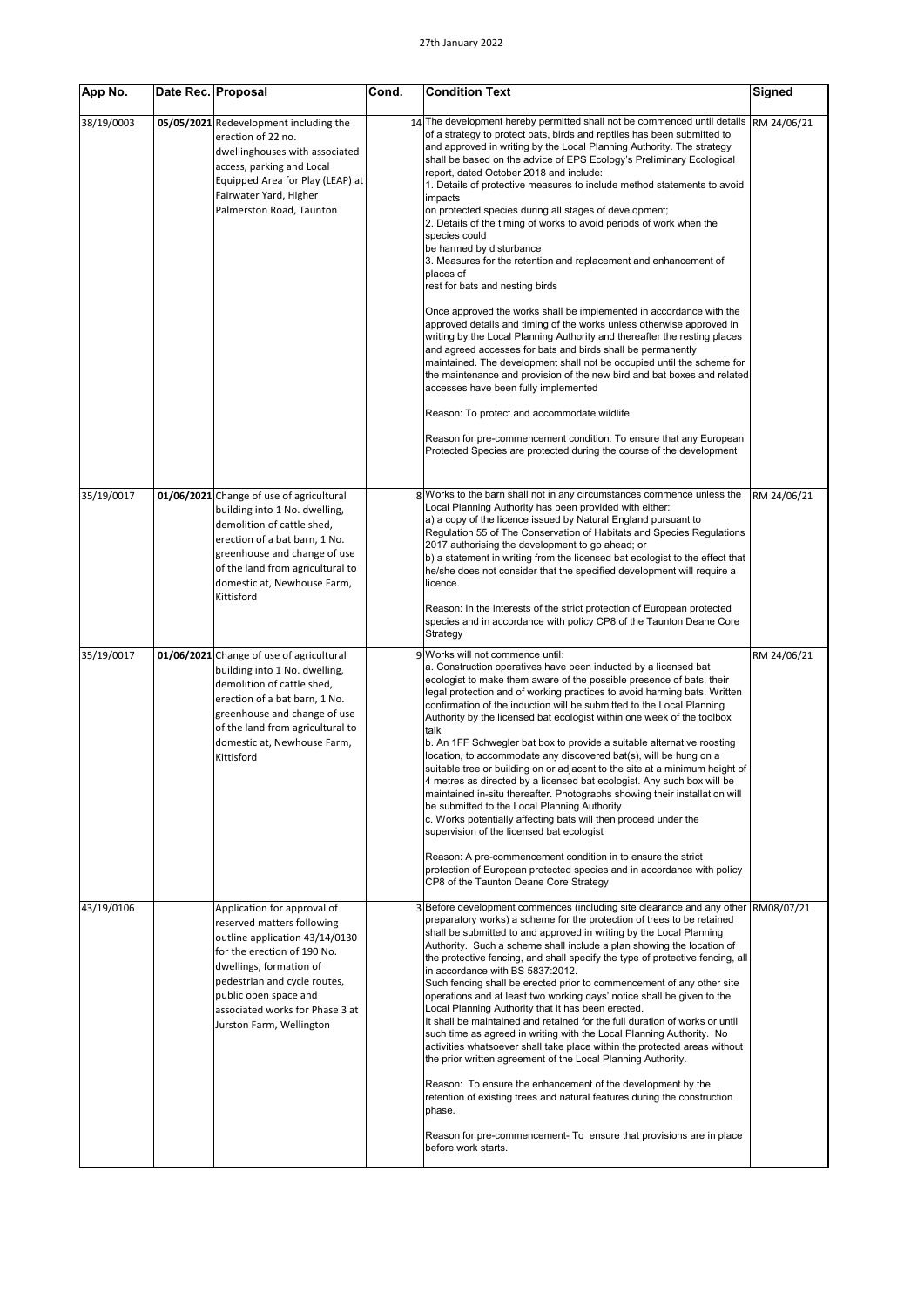| App No.    | Date Rec. Proposal |                                                                                                                                                                                                                                                                               | Cond. | <b>Condition Text</b>                                                                                                                                                                                                                                                                                                                                                                                                                                                                                                                                                                                                                                                                                                                                                                                                                                                                                                                                                                                                                                                                                                                                                                                                                                                                                                                                                                                                          | Signed      |
|------------|--------------------|-------------------------------------------------------------------------------------------------------------------------------------------------------------------------------------------------------------------------------------------------------------------------------|-------|--------------------------------------------------------------------------------------------------------------------------------------------------------------------------------------------------------------------------------------------------------------------------------------------------------------------------------------------------------------------------------------------------------------------------------------------------------------------------------------------------------------------------------------------------------------------------------------------------------------------------------------------------------------------------------------------------------------------------------------------------------------------------------------------------------------------------------------------------------------------------------------------------------------------------------------------------------------------------------------------------------------------------------------------------------------------------------------------------------------------------------------------------------------------------------------------------------------------------------------------------------------------------------------------------------------------------------------------------------------------------------------------------------------------------------|-------------|
| 38/19/0003 |                    | 05/05/2021 Redevelopment including the<br>erection of 22 no.<br>dwellinghouses with associated<br>access, parking and Local<br>Equipped Area for Play (LEAP) at<br>Fairwater Yard, Higher<br>Palmerston Road, Taunton                                                         |       | 14 The development hereby permitted shall not be commenced until details<br>of a strategy to protect bats, birds and reptiles has been submitted to<br>and approved in writing by the Local Planning Authority. The strategy<br>shall be based on the advice of EPS Ecology's Preliminary Ecological<br>report, dated October 2018 and include:<br>1. Details of protective measures to include method statements to avoid<br>impacts<br>on protected species during all stages of development;<br>2. Details of the timing of works to avoid periods of work when the<br>species could<br>be harmed by disturbance<br>3. Measures for the retention and replacement and enhancement of<br>places of<br>rest for bats and nesting birds<br>Once approved the works shall be implemented in accordance with the<br>approved details and timing of the works unless otherwise approved in<br>writing by the Local Planning Authority and thereafter the resting places<br>and agreed accesses for bats and birds shall be permanently<br>maintained. The development shall not be occupied until the scheme for<br>the maintenance and provision of the new bird and bat boxes and related<br>accesses have been fully implemented<br>Reason: To protect and accommodate wildlife.<br>Reason for pre-commencement condition: To ensure that any European<br>Protected Species are protected during the course of the development | RM 24/06/21 |
| 35/19/0017 |                    | 01/06/2021 Change of use of agricultural<br>building into 1 No. dwelling,<br>demolition of cattle shed,<br>erection of a bat barn, 1 No.<br>greenhouse and change of use<br>of the land from agricultural to<br>domestic at, Newhouse Farm,<br>Kittisford                     |       | 8 Works to the barn shall not in any circumstances commence unless the<br>Local Planning Authority has been provided with either:<br>a) a copy of the licence issued by Natural England pursuant to<br>Regulation 55 of The Conservation of Habitats and Species Regulations<br>2017 authorising the development to go ahead; or<br>b) a statement in writing from the licensed bat ecologist to the effect that<br>he/she does not consider that the specified development will require a<br>licence.<br>Reason: In the interests of the strict protection of European protected<br>species and in accordance with policy CP8 of the Taunton Deane Core<br>Strategy                                                                                                                                                                                                                                                                                                                                                                                                                                                                                                                                                                                                                                                                                                                                                           | RM 24/06/21 |
| 35/19/0017 |                    | 01/06/2021 Change of use of agricultural<br>building into 1 No. dwelling,<br>demolition of cattle shed,<br>erection of a bat barn, 1 No.<br>greenhouse and change of use<br>of the land from agricultural to<br>domestic at, Newhouse Farm,<br>Kittisford                     |       | 9 Works will not commence until:<br>a. Construction operatives have been inducted by a licensed bat<br>ecologist to make them aware of the possible presence of bats, their<br>legal protection and of working practices to avoid harming bats. Written<br>confirmation of the induction will be submitted to the Local Planning<br>Authority by the licensed bat ecologist within one week of the toolbox<br>talk<br>b. An 1FF Schwegler bat box to provide a suitable alternative roosting<br>location, to accommodate any discovered bat(s), will be hung on a<br>suitable tree or building on or adjacent to the site at a minimum height of<br>4 metres as directed by a licensed bat ecologist. Any such box will be<br>maintained in-situ thereafter. Photographs showing their installation will<br>be submitted to the Local Planning Authority<br>c. Works potentially affecting bats will then proceed under the<br>supervision of the licensed bat ecologist<br>Reason: A pre-commencement condition in to ensure the strict<br>protection of European protected species and in accordance with policy<br>CP8 of the Taunton Deane Core Strategy                                                                                                                                                                                                                                                                   | RM 24/06/21 |
| 43/19/0106 |                    | Application for approval of<br>reserved matters following<br>outline application 43/14/0130<br>for the erection of 190 No.<br>dwellings, formation of<br>pedestrian and cycle routes,<br>public open space and<br>associated works for Phase 3 at<br>Jurston Farm, Wellington |       | Before development commences (including site clearance and any other<br>preparatory works) a scheme for the protection of trees to be retained<br>shall be submitted to and approved in writing by the Local Planning<br>Authority. Such a scheme shall include a plan showing the location of<br>the protective fencing, and shall specify the type of protective fencing, all<br>in accordance with BS 5837:2012.<br>Such fencing shall be erected prior to commencement of any other site<br>operations and at least two working days' notice shall be given to the<br>Local Planning Authority that it has been erected.<br>It shall be maintained and retained for the full duration of works or until<br>such time as agreed in writing with the Local Planning Authority. No<br>activities whatsoever shall take place within the protected areas without<br>the prior written agreement of the Local Planning Authority.<br>Reason: To ensure the enhancement of the development by the<br>retention of existing trees and natural features during the construction<br>phase.<br>Reason for pre-commencement- To ensure that provisions are in place<br>before work starts.                                                                                                                                                                                                                                            | RM08/07/21  |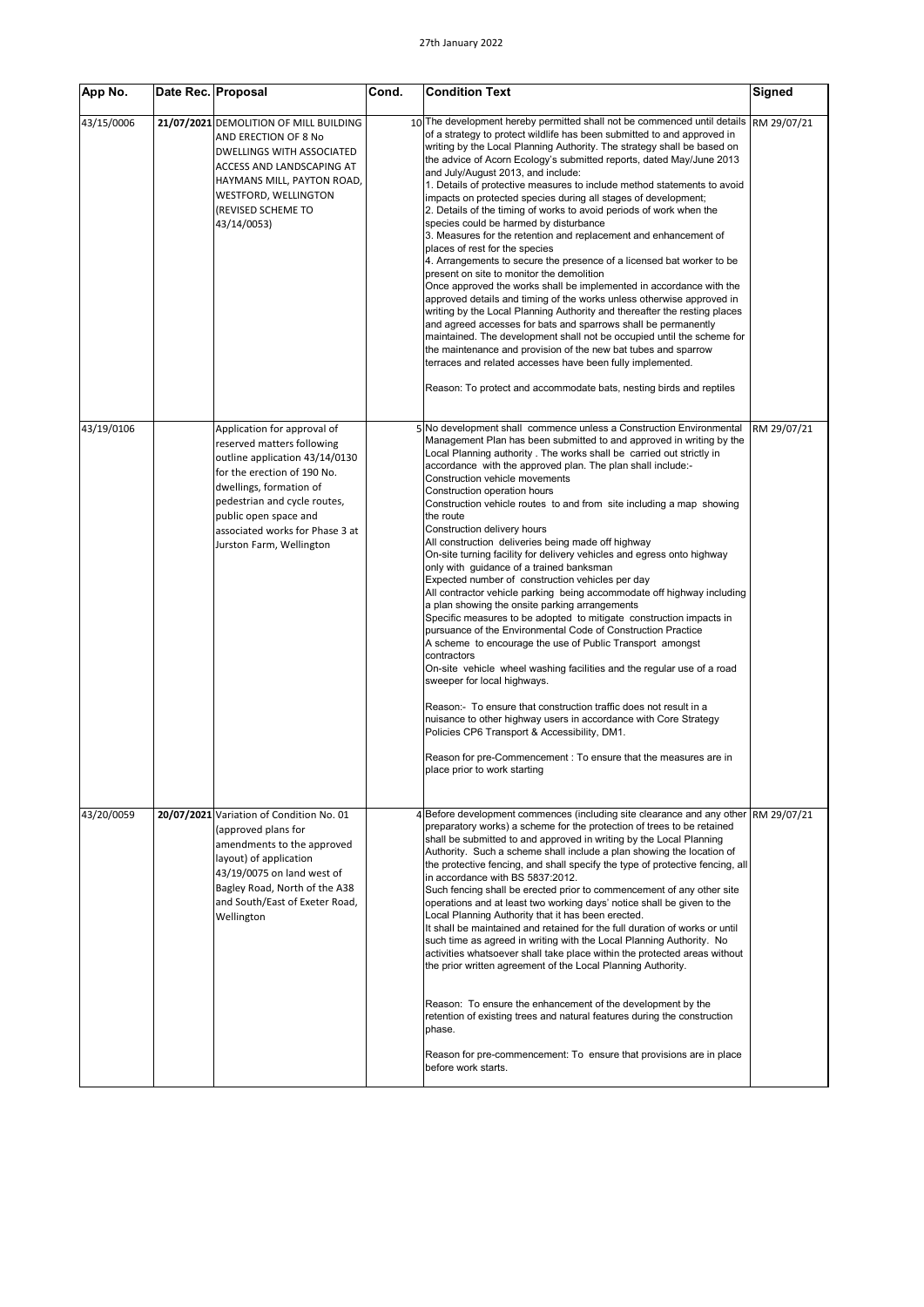| App No.    | Date Rec. Proposal |                                                                                                                                                                                                                                                                               | Cond. | <b>Condition Text</b>                                                                                                                                                                                                                                                                                                                                                                                                                                                                                                                                                                                                                                                                                                                                                                                                                                                                                                                                                                                                                                                                                                                                                                                                                                                                                                                                                                                                                                          | <b>Signed</b> |
|------------|--------------------|-------------------------------------------------------------------------------------------------------------------------------------------------------------------------------------------------------------------------------------------------------------------------------|-------|----------------------------------------------------------------------------------------------------------------------------------------------------------------------------------------------------------------------------------------------------------------------------------------------------------------------------------------------------------------------------------------------------------------------------------------------------------------------------------------------------------------------------------------------------------------------------------------------------------------------------------------------------------------------------------------------------------------------------------------------------------------------------------------------------------------------------------------------------------------------------------------------------------------------------------------------------------------------------------------------------------------------------------------------------------------------------------------------------------------------------------------------------------------------------------------------------------------------------------------------------------------------------------------------------------------------------------------------------------------------------------------------------------------------------------------------------------------|---------------|
| 43/15/0006 |                    | 21/07/2021 DEMOLITION OF MILL BUILDING<br>AND ERECTION OF 8 No<br>DWELLINGS WITH ASSOCIATED<br>ACCESS AND LANDSCAPING AT<br>HAYMANS MILL, PAYTON ROAD,<br>WESTFORD, WELLINGTON<br>(REVISED SCHEME TO<br>43/14/0053)                                                           |       | 10 <sup>The development hereby permitted shall not be commenced until details</sup><br>of a strategy to protect wildlife has been submitted to and approved in<br>writing by the Local Planning Authority. The strategy shall be based on<br>the advice of Acorn Ecology's submitted reports, dated May/June 2013<br>and July/August 2013, and include:<br>1. Details of protective measures to include method statements to avoid<br>impacts on protected species during all stages of development;<br>2. Details of the timing of works to avoid periods of work when the<br>species could be harmed by disturbance<br>3. Measures for the retention and replacement and enhancement of<br>places of rest for the species<br>4. Arrangements to secure the presence of a licensed bat worker to be<br>present on site to monitor the demolition<br>Once approved the works shall be implemented in accordance with the<br>approved details and timing of the works unless otherwise approved in<br>writing by the Local Planning Authority and thereafter the resting places<br>and agreed accesses for bats and sparrows shall be permanently<br>maintained. The development shall not be occupied until the scheme for<br>the maintenance and provision of the new bat tubes and sparrow<br>terraces and related accesses have been fully implemented.<br>Reason: To protect and accommodate bats, nesting birds and reptiles                              | RM 29/07/21   |
| 43/19/0106 |                    | Application for approval of<br>reserved matters following<br>outline application 43/14/0130<br>for the erection of 190 No.<br>dwellings, formation of<br>pedestrian and cycle routes,<br>public open space and<br>associated works for Phase 3 at<br>Jurston Farm, Wellington |       | 5 No development shall commence unless a Construction Environmental<br>Management Plan has been submitted to and approved in writing by the<br>Local Planning authority . The works shall be carried out strictly in<br>accordance with the approved plan. The plan shall include:-<br>Construction vehicle movements<br>Construction operation hours<br>Construction vehicle routes to and from site including a map showing<br>the route<br>Construction delivery hours<br>All construction deliveries being made off highway<br>On-site turning facility for delivery vehicles and egress onto highway<br>only with guidance of a trained banksman<br>Expected number of construction vehicles per day<br>All contractor vehicle parking being accommodate off highway including<br>a plan showing the onsite parking arrangements<br>Specific measures to be adopted to mitigate construction impacts in<br>pursuance of the Environmental Code of Construction Practice<br>A scheme to encourage the use of Public Transport amongst<br>contractors<br>On-site vehicle wheel washing facilities and the regular use of a road<br>sweeper for local highways.<br>Reason:- To ensure that construction traffic does not result in a<br>nuisance to other highway users in accordance with Core Strategy<br>Policies CP6 Transport & Accessibility, DM1.<br>Reason for pre-Commencement : To ensure that the measures are in<br>place prior to work starting | RM 29/07/21   |
| 43/20/0059 |                    | 20/07/2021 Variation of Condition No. 01<br>(approved plans for<br>amendments to the approved<br>layout) of application<br>43/19/0075 on land west of<br>Bagley Road, North of the A38<br>and South/East of Exeter Road,<br>Wellington                                        |       | 4 Before development commences (including site clearance and any other RM 29/07/21<br>preparatory works) a scheme for the protection of trees to be retained<br>shall be submitted to and approved in writing by the Local Planning<br>Authority. Such a scheme shall include a plan showing the location of<br>the protective fencing, and shall specify the type of protective fencing, all<br>in accordance with BS 5837:2012.<br>Such fencing shall be erected prior to commencement of any other site<br>operations and at least two working days' notice shall be given to the<br>Local Planning Authority that it has been erected.<br>It shall be maintained and retained for the full duration of works or until<br>such time as agreed in writing with the Local Planning Authority. No<br>activities whatsoever shall take place within the protected areas without<br>the prior written agreement of the Local Planning Authority.<br>Reason: To ensure the enhancement of the development by the<br>retention of existing trees and natural features during the construction<br>phase.<br>Reason for pre-commencement: To ensure that provisions are in place<br>before work starts.                                                                                                                                                                                                                                                              |               |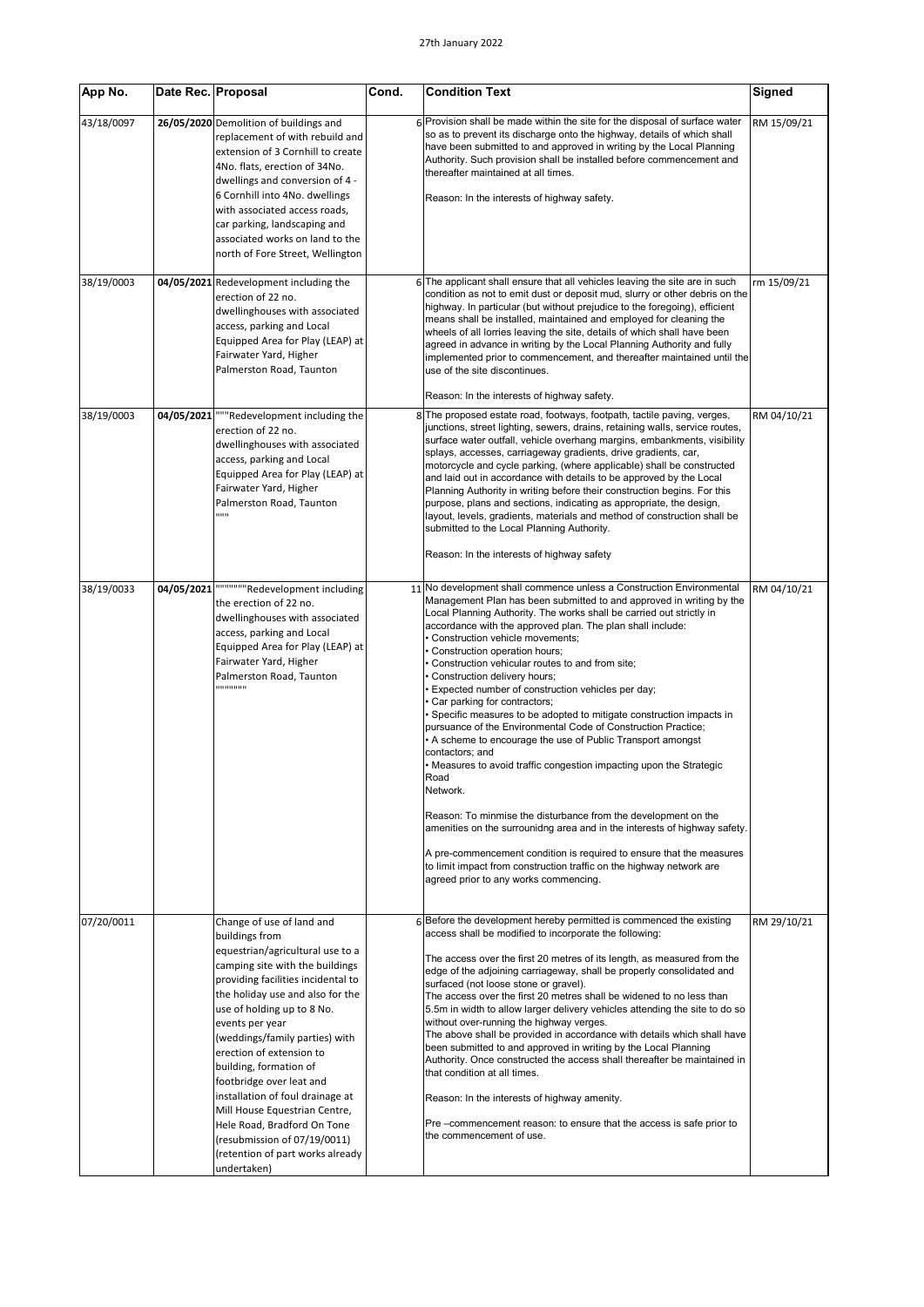| App No.    |            | Date Rec. Proposal                                                                                                                                                                                                                                                                                                                                                                                                                                                                                                                                       | Cond. | <b>Condition Text</b>                                                                                                                                                                                                                                                                                                                                                                                                                                                                                                                                                                                                                                                                                                                                                                                                                                                                                                                                                                                                                                                                                                                                                                       | <b>Signed</b> |
|------------|------------|----------------------------------------------------------------------------------------------------------------------------------------------------------------------------------------------------------------------------------------------------------------------------------------------------------------------------------------------------------------------------------------------------------------------------------------------------------------------------------------------------------------------------------------------------------|-------|---------------------------------------------------------------------------------------------------------------------------------------------------------------------------------------------------------------------------------------------------------------------------------------------------------------------------------------------------------------------------------------------------------------------------------------------------------------------------------------------------------------------------------------------------------------------------------------------------------------------------------------------------------------------------------------------------------------------------------------------------------------------------------------------------------------------------------------------------------------------------------------------------------------------------------------------------------------------------------------------------------------------------------------------------------------------------------------------------------------------------------------------------------------------------------------------|---------------|
| 43/18/0097 |            | 26/05/2020 Demolition of buildings and<br>replacement of with rebuild and<br>extension of 3 Cornhill to create<br>4No. flats, erection of 34No.<br>dwellings and conversion of 4 -<br>6 Cornhill into 4No. dwellings<br>with associated access roads,<br>car parking, landscaping and<br>associated works on land to the<br>north of Fore Street, Wellington                                                                                                                                                                                             |       | 6 Provision shall be made within the site for the disposal of surface water<br>so as to prevent its discharge onto the highway, details of which shall<br>have been submitted to and approved in writing by the Local Planning<br>Authority. Such provision shall be installed before commencement and<br>thereafter maintained at all times.<br>Reason: In the interests of highway safety.                                                                                                                                                                                                                                                                                                                                                                                                                                                                                                                                                                                                                                                                                                                                                                                                | RM 15/09/21   |
| 38/19/0003 |            | 04/05/2021 Redevelopment including the<br>erection of 22 no.<br>dwellinghouses with associated<br>access, parking and Local<br>Equipped Area for Play (LEAP) at<br>Fairwater Yard, Higher<br>Palmerston Road, Taunton                                                                                                                                                                                                                                                                                                                                    |       | 6 The applicant shall ensure that all vehicles leaving the site are in such<br>condition as not to emit dust or deposit mud, slurry or other debris on the<br>highway. In particular (but without prejudice to the foregoing), efficient<br>means shall be installed, maintained and employed for cleaning the<br>wheels of all lorries leaving the site, details of which shall have been<br>agreed in advance in writing by the Local Planning Authority and fully<br>implemented prior to commencement, and thereafter maintained until the<br>use of the site discontinues.<br>Reason: In the interests of highway safety.                                                                                                                                                                                                                                                                                                                                                                                                                                                                                                                                                              | rm 15/09/21   |
| 38/19/0003 | 04/05/2021 | """Redevelopment including the<br>erection of 22 no.<br>dwellinghouses with associated<br>access, parking and Local<br>Equipped Area for Play (LEAP) at<br>Fairwater Yard, Higher<br>Palmerston Road, Taunton<br>88 B B                                                                                                                                                                                                                                                                                                                                  |       | The proposed estate road, footways, footpath, tactile paving, verges,<br>junctions, street lighting, sewers, drains, retaining walls, service routes,<br>surface water outfall, vehicle overhang margins, embankments, visibility<br>splays, accesses, carriageway gradients, drive gradients, car,<br>motorcycle and cycle parking, (where applicable) shall be constructed<br>and laid out in accordance with details to be approved by the Local<br>Planning Authority in writing before their construction begins. For this<br>purpose, plans and sections, indicating as appropriate, the design,<br>layout, levels, gradients, materials and method of construction shall be<br>submitted to the Local Planning Authority.<br>Reason: In the interests of highway safety                                                                                                                                                                                                                                                                                                                                                                                                              | RM 04/10/21   |
| 38/19/0033 | 04/05/2021 | """""""Redevelopment including<br>the erection of 22 no.<br>dwellinghouses with associated<br>access, parking and Local<br>Equipped Area for Play (LEAP) at<br>Fairwater Yard, Higher<br>Palmerston Road, Taunton<br>,,,,,,,,,,,                                                                                                                                                                                                                                                                                                                         |       | 11 No development shall commence unless a Construction Environmental<br>Management Plan has been submitted to and approved in writing by the<br>Local Planning Authority. The works shall be carried out strictly in<br>accordance with the approved plan. The plan shall include:<br>Construction vehicle movements;<br>Construction operation hours;<br>Construction vehicular routes to and from site;<br>Construction delivery hours;<br>Expected number of construction vehicles per day;<br>Car parking for contractors;<br>Specific measures to be adopted to mitigate construction impacts in<br>pursuance of the Environmental Code of Construction Practice;<br>• A scheme to encourage the use of Public Transport amongst<br>contactors; and<br>• Measures to avoid traffic congestion impacting upon the Strategic<br>Road<br>Network.<br>Reason: To minmise the disturbance from the development on the<br>amenities on the surrounidng area and in the interests of highway safety.<br>A pre-commencement condition is required to ensure that the measures<br>to limit impact from construction traffic on the highway network are<br>agreed prior to any works commencing. | RM 04/10/21   |
| 07/20/0011 |            | Change of use of land and<br>buildings from<br>equestrian/agricultural use to a<br>camping site with the buildings<br>providing facilities incidental to<br>the holiday use and also for the<br>use of holding up to 8 No.<br>events per year<br>(weddings/family parties) with<br>erection of extension to<br>building, formation of<br>footbridge over leat and<br>installation of foul drainage at<br>Mill House Equestrian Centre,<br>Hele Road, Bradford On Tone<br>(resubmission of 07/19/0011)<br>(retention of part works already<br>undertaken) |       | 6 Before the development hereby permitted is commenced the existing<br>access shall be modified to incorporate the following:<br>The access over the first 20 metres of its length, as measured from the<br>edge of the adjoining carriageway, shall be properly consolidated and<br>surfaced (not loose stone or gravel).<br>The access over the first 20 metres shall be widened to no less than<br>5.5m in width to allow larger delivery vehicles attending the site to do so<br>without over-running the highway verges.<br>The above shall be provided in accordance with details which shall have<br>been submitted to and approved in writing by the Local Planning<br>Authority. Once constructed the access shall thereafter be maintained in<br>that condition at all times.<br>Reason: In the interests of highway amenity.<br>Pre -commencement reason: to ensure that the access is safe prior to<br>the commencement of use.                                                                                                                                                                                                                                                 | RM 29/10/21   |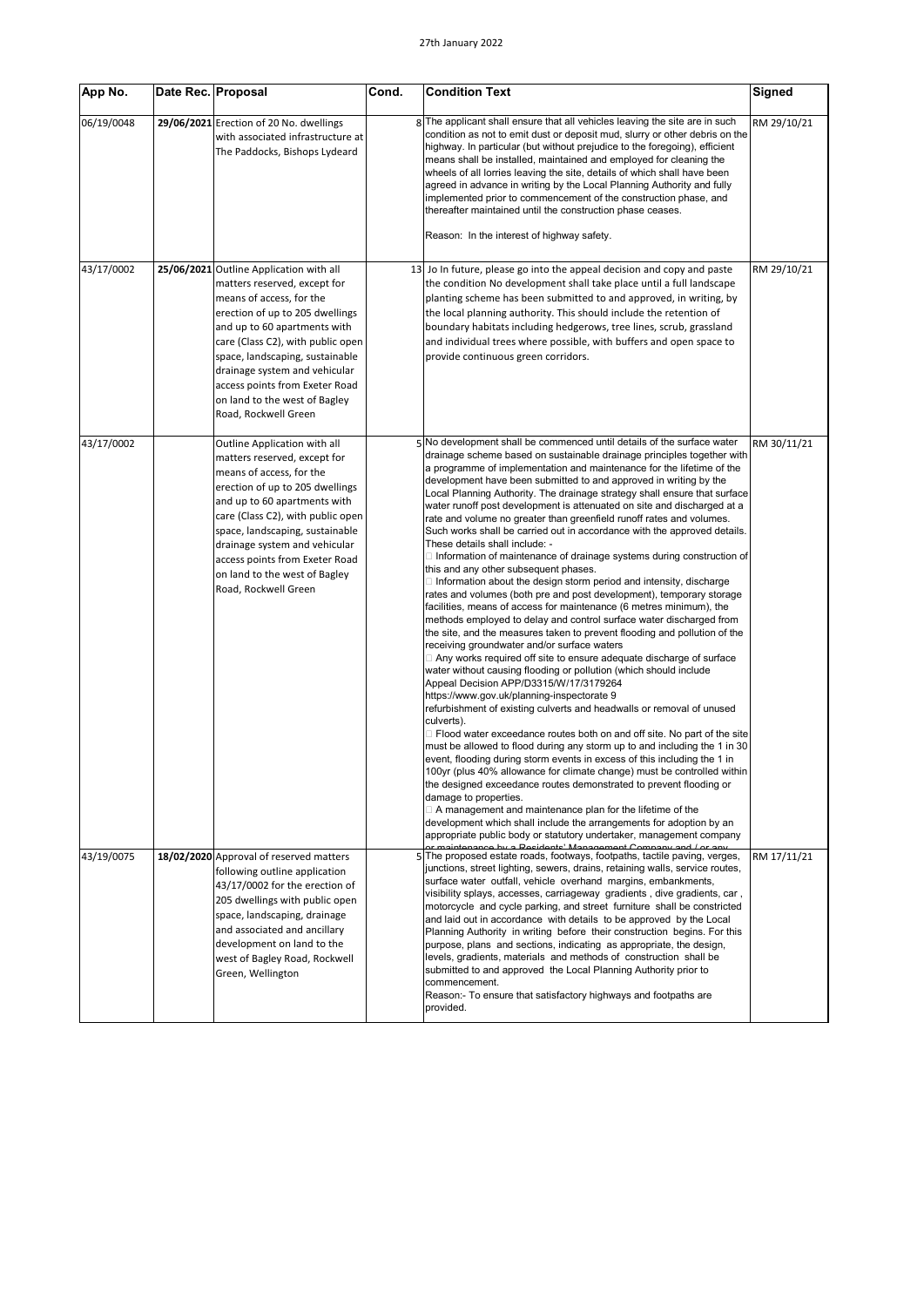| App No.    | Date Rec. Proposal                                                                                                                                                                                                                                                                                                                                                         | Cond. | <b>Condition Text</b>                                                                                                                                                                                                                                                                                                                                                                                                                                                                                                                                                                                                                                                                                                                                                                                                                                                                                                                                                                                                                                                                                                                                                                                                                                                                                                                                                                                                                                                                                                                                                                                                                                                                                                                                                                                                                                                                                                                                                                                                                                                                                                                                                                                                                | Signed      |
|------------|----------------------------------------------------------------------------------------------------------------------------------------------------------------------------------------------------------------------------------------------------------------------------------------------------------------------------------------------------------------------------|-------|--------------------------------------------------------------------------------------------------------------------------------------------------------------------------------------------------------------------------------------------------------------------------------------------------------------------------------------------------------------------------------------------------------------------------------------------------------------------------------------------------------------------------------------------------------------------------------------------------------------------------------------------------------------------------------------------------------------------------------------------------------------------------------------------------------------------------------------------------------------------------------------------------------------------------------------------------------------------------------------------------------------------------------------------------------------------------------------------------------------------------------------------------------------------------------------------------------------------------------------------------------------------------------------------------------------------------------------------------------------------------------------------------------------------------------------------------------------------------------------------------------------------------------------------------------------------------------------------------------------------------------------------------------------------------------------------------------------------------------------------------------------------------------------------------------------------------------------------------------------------------------------------------------------------------------------------------------------------------------------------------------------------------------------------------------------------------------------------------------------------------------------------------------------------------------------------------------------------------------------|-------------|
| 06/19/0048 | 29/06/2021 Erection of 20 No. dwellings<br>with associated infrastructure at<br>The Paddocks, Bishops Lydeard                                                                                                                                                                                                                                                              |       | 8 The applicant shall ensure that all vehicles leaving the site are in such<br>condition as not to emit dust or deposit mud, slurry or other debris on the<br>highway. In particular (but without prejudice to the foregoing), efficient<br>means shall be installed, maintained and employed for cleaning the<br>wheels of all lorries leaving the site, details of which shall have been<br>agreed in advance in writing by the Local Planning Authority and fully<br>implemented prior to commencement of the construction phase, and<br>thereafter maintained until the construction phase ceases.<br>Reason: In the interest of highway safety.                                                                                                                                                                                                                                                                                                                                                                                                                                                                                                                                                                                                                                                                                                                                                                                                                                                                                                                                                                                                                                                                                                                                                                                                                                                                                                                                                                                                                                                                                                                                                                                 | RM 29/10/21 |
| 43/17/0002 | 25/06/2021 Outline Application with all<br>matters reserved, except for<br>means of access, for the<br>erection of up to 205 dwellings<br>and up to 60 apartments with<br>care (Class C2), with public open<br>space, landscaping, sustainable<br>drainage system and vehicular<br>access points from Exeter Road<br>on land to the west of Bagley<br>Road, Rockwell Green |       | 13 Jo In future, please go into the appeal decision and copy and paste<br>the condition No development shall take place until a full landscape<br>planting scheme has been submitted to and approved, in writing, by<br>the local planning authority. This should include the retention of<br>boundary habitats including hedgerows, tree lines, scrub, grassland<br>and individual trees where possible, with buffers and open space to<br>provide continuous green corridors.                                                                                                                                                                                                                                                                                                                                                                                                                                                                                                                                                                                                                                                                                                                                                                                                                                                                                                                                                                                                                                                                                                                                                                                                                                                                                                                                                                                                                                                                                                                                                                                                                                                                                                                                                      | RM 29/10/21 |
| 43/17/0002 | Outline Application with all<br>matters reserved, except for<br>means of access, for the<br>erection of up to 205 dwellings<br>and up to 60 apartments with<br>care (Class C2), with public open<br>space, landscaping, sustainable<br>drainage system and vehicular<br>access points from Exeter Road<br>on land to the west of Bagley<br>Road, Rockwell Green            |       | 5 No development shall be commenced until details of the surface water<br>drainage scheme based on sustainable drainage principles together with<br>a programme of implementation and maintenance for the lifetime of the<br>development have been submitted to and approved in writing by the<br>Local Planning Authority. The drainage strategy shall ensure that surface<br>water runoff post development is attenuated on site and discharged at a<br>rate and volume no greater than greenfield runoff rates and volumes.<br>Such works shall be carried out in accordance with the approved details.<br>These details shall include: -<br>□ Information of maintenance of drainage systems during construction of<br>this and any other subsequent phases.<br>$\Box$ Information about the design storm period and intensity, discharge<br>rates and volumes (both pre and post development), temporary storage<br>facilities, means of access for maintenance (6 metres minimum), the<br>methods employed to delay and control surface water discharged from<br>the site, and the measures taken to prevent flooding and pollution of the<br>receiving groundwater and/or surface waters<br>□ Any works required off site to ensure adequate discharge of surface<br>water without causing flooding or pollution (which should include<br>Appeal Decision APP/D3315/W/17/3179264<br>https://www.gov.uk/planning-inspectorate 9<br>refurbishment of existing culverts and headwalls or removal of unused<br>culverts).<br>$\Box$ Flood water exceedance routes both on and off site. No part of the site<br>must be allowed to flood during any storm up to and including the 1 in 30<br>event, flooding during storm events in excess of this including the 1 in<br>100yr (plus 40% allowance for climate change) must be controlled within<br>the designed exceedance routes demonstrated to prevent flooding or<br>damage to properties.<br>$\Box$ A management and maintenance plan for the lifetime of the<br>development which shall include the arrangements for adoption by an<br>appropriate public body or statutory undertaker, management company<br>or maintenance by a Residents' Management Company and Lor any | RM 30/11/21 |
| 43/19/0075 | 18/02/2020 Approval of reserved matters<br>following outline application<br>43/17/0002 for the erection of<br>205 dwellings with public open<br>space, landscaping, drainage<br>and associated and ancillary<br>development on land to the<br>west of Bagley Road, Rockwell<br>Green, Wellington                                                                           |       | 5 The proposed estate roads, footways, footpaths, tactile paving, verges,<br>junctions, street lighting, sewers, drains, retaining walls, service routes,<br>surface water outfall, vehicle overhand margins, embankments,<br>visibility splays, accesses, carriageway gradients, dive gradients, car,<br>motorcycle and cycle parking, and street furniture shall be constricted<br>and laid out in accordance with details to be approved by the Local<br>Planning Authority in writing before their construction begins. For this<br>purpose, plans and sections, indicating as appropriate, the design,<br>levels, gradients, materials and methods of construction shall be<br>submitted to and approved the Local Planning Authority prior to<br>commencement.<br>Reason:- To ensure that satisfactory highways and footpaths are<br>provided.                                                                                                                                                                                                                                                                                                                                                                                                                                                                                                                                                                                                                                                                                                                                                                                                                                                                                                                                                                                                                                                                                                                                                                                                                                                                                                                                                                                 | RM 17/11/21 |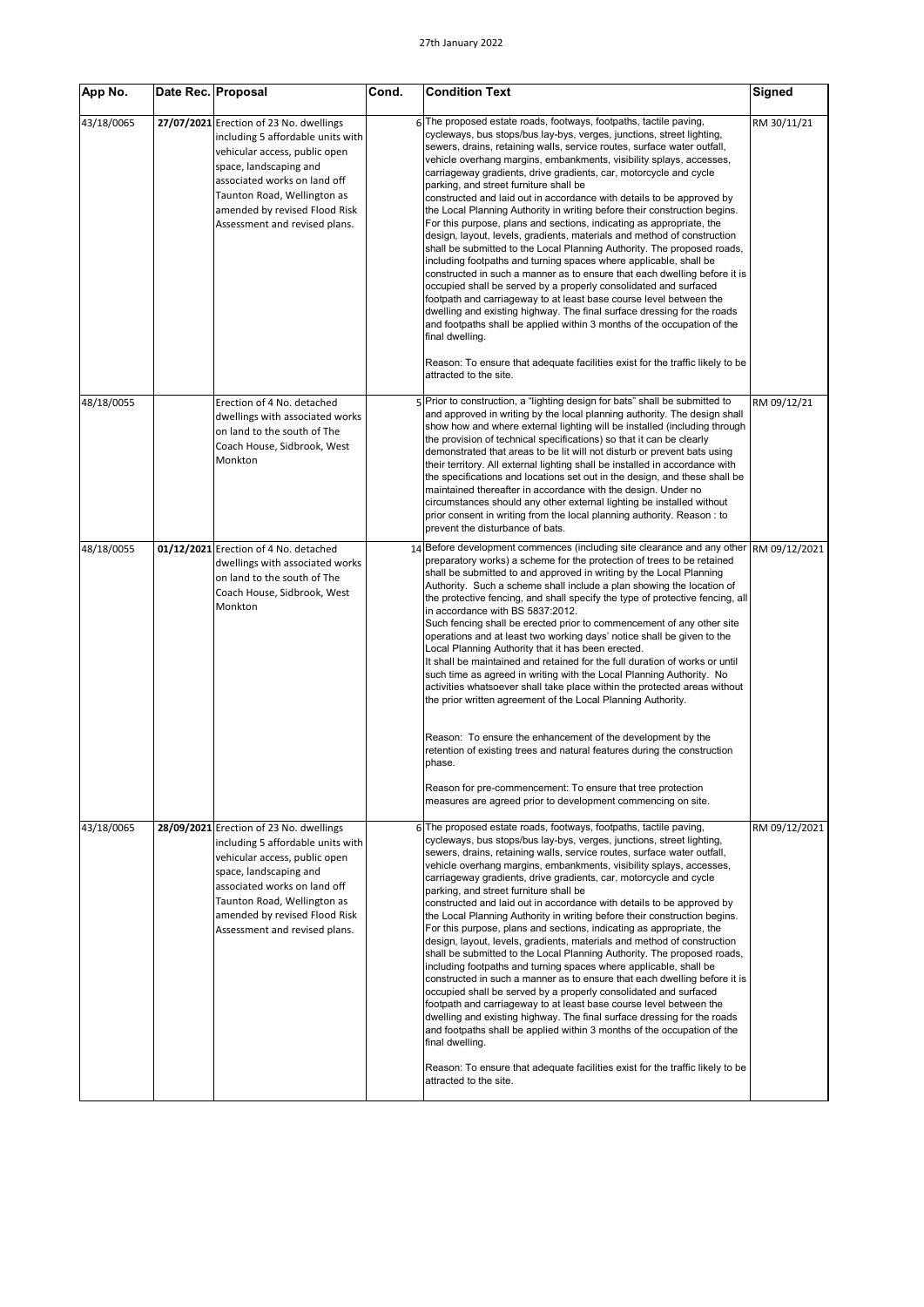| App No.    | Date Rec. Proposal |                                                                                                                                                                                                                                                                          | Cond. | <b>Condition Text</b>                                                                                                                                                                                                                                                                                                                                                                                                                                                                                                                                                                                                                                                                                                                                                                                                                                                                                                                                                                                                                                                                                                                                                                                                                                                                                                                                                                                                                                                                                          | Signed        |
|------------|--------------------|--------------------------------------------------------------------------------------------------------------------------------------------------------------------------------------------------------------------------------------------------------------------------|-------|----------------------------------------------------------------------------------------------------------------------------------------------------------------------------------------------------------------------------------------------------------------------------------------------------------------------------------------------------------------------------------------------------------------------------------------------------------------------------------------------------------------------------------------------------------------------------------------------------------------------------------------------------------------------------------------------------------------------------------------------------------------------------------------------------------------------------------------------------------------------------------------------------------------------------------------------------------------------------------------------------------------------------------------------------------------------------------------------------------------------------------------------------------------------------------------------------------------------------------------------------------------------------------------------------------------------------------------------------------------------------------------------------------------------------------------------------------------------------------------------------------------|---------------|
| 43/18/0065 |                    | 27/07/2021 Erection of 23 No. dwellings<br>including 5 affordable units with<br>vehicular access, public open<br>space, landscaping and<br>associated works on land off<br>Taunton Road, Wellington as<br>amended by revised Flood Risk<br>Assessment and revised plans. |       | 6 The proposed estate roads, footways, footpaths, tactile paving,<br>cycleways, bus stops/bus lay-bys, verges, junctions, street lighting,<br>sewers, drains, retaining walls, service routes, surface water outfall,<br>vehicle overhang margins, embankments, visibility splays, accesses,<br>carriageway gradients, drive gradients, car, motorcycle and cycle<br>parking, and street furniture shall be<br>constructed and laid out in accordance with details to be approved by<br>the Local Planning Authority in writing before their construction begins.<br>For this purpose, plans and sections, indicating as appropriate, the<br>design, layout, levels, gradients, materials and method of construction<br>shall be submitted to the Local Planning Authority. The proposed roads,<br>including footpaths and turning spaces where applicable, shall be<br>constructed in such a manner as to ensure that each dwelling before it is<br>occupied shall be served by a properly consolidated and surfaced<br>footpath and carriageway to at least base course level between the<br>dwelling and existing highway. The final surface dressing for the roads<br>and footpaths shall be applied within 3 months of the occupation of the<br>final dwelling.<br>Reason: To ensure that adequate facilities exist for the traffic likely to be<br>attracted to the site.                                                                                                                                | RM 30/11/21   |
| 48/18/0055 |                    | Erection of 4 No. detached<br>dwellings with associated works<br>on land to the south of The<br>Coach House, Sidbrook, West<br>Monkton                                                                                                                                   |       | Prior to construction, a "lighting design for bats" shall be submitted to<br>and approved in writing by the local planning authority. The design shall<br>show how and where external lighting will be installed (including through<br>the provision of technical specifications) so that it can be clearly<br>demonstrated that areas to be lit will not disturb or prevent bats using<br>their territory. All external lighting shall be installed in accordance with<br>the specifications and locations set out in the design, and these shall be<br>maintained thereafter in accordance with the design. Under no<br>circumstances should any other external lighting be installed without<br>prior consent in writing from the local planning authority. Reason : to<br>prevent the disturbance of bats.                                                                                                                                                                                                                                                                                                                                                                                                                                                                                                                                                                                                                                                                                                 | RM 09/12/21   |
| 48/18/0055 |                    | 01/12/2021 Erection of 4 No. detached<br>dwellings with associated works<br>on land to the south of The<br>Coach House, Sidbrook, West<br>Monkton                                                                                                                        |       | Before development commences (including site clearance and any other RM 09/12/2021<br>preparatory works) a scheme for the protection of trees to be retained<br>shall be submitted to and approved in writing by the Local Planning<br>Authority. Such a scheme shall include a plan showing the location of<br>the protective fencing, and shall specify the type of protective fencing, all<br>in accordance with BS 5837:2012.<br>Such fencing shall be erected prior to commencement of any other site<br>operations and at least two working days' notice shall be given to the<br>Local Planning Authority that it has been erected.<br>It shall be maintained and retained for the full duration of works or until<br>such time as agreed in writing with the Local Planning Authority. No<br>activities whatsoever shall take place within the protected areas without<br>the prior written agreement of the Local Planning Authority.<br>Reason: To ensure the enhancement of the development by the<br>retention of existing trees and natural features during the construction<br>phase.                                                                                                                                                                                                                                                                                                                                                                                                            |               |
| 43/18/0065 |                    | 28/09/2021 Erection of 23 No. dwellings<br>including 5 affordable units with<br>vehicular access, public open<br>space, landscaping and<br>associated works on land off<br>Taunton Road, Wellington as<br>amended by revised Flood Risk<br>Assessment and revised plans. |       | Reason for pre-commencement: To ensure that tree protection<br>measures are agreed prior to development commencing on site.<br>6 The proposed estate roads, footways, footpaths, tactile paving,<br>cycleways, bus stops/bus lay-bys, verges, junctions, street lighting,<br>sewers, drains, retaining walls, service routes, surface water outfall,<br>vehicle overhang margins, embankments, visibility splays, accesses,<br>carriageway gradients, drive gradients, car, motorcycle and cycle<br>parking, and street furniture shall be<br>constructed and laid out in accordance with details to be approved by<br>the Local Planning Authority in writing before their construction begins.<br>For this purpose, plans and sections, indicating as appropriate, the<br>design, layout, levels, gradients, materials and method of construction<br>shall be submitted to the Local Planning Authority. The proposed roads,<br>including footpaths and turning spaces where applicable, shall be<br>constructed in such a manner as to ensure that each dwelling before it is<br>occupied shall be served by a properly consolidated and surfaced<br>footpath and carriageway to at least base course level between the<br>dwelling and existing highway. The final surface dressing for the roads<br>and footpaths shall be applied within 3 months of the occupation of the<br>final dwelling.<br>Reason: To ensure that adequate facilities exist for the traffic likely to be<br>attracted to the site. | RM 09/12/2021 |